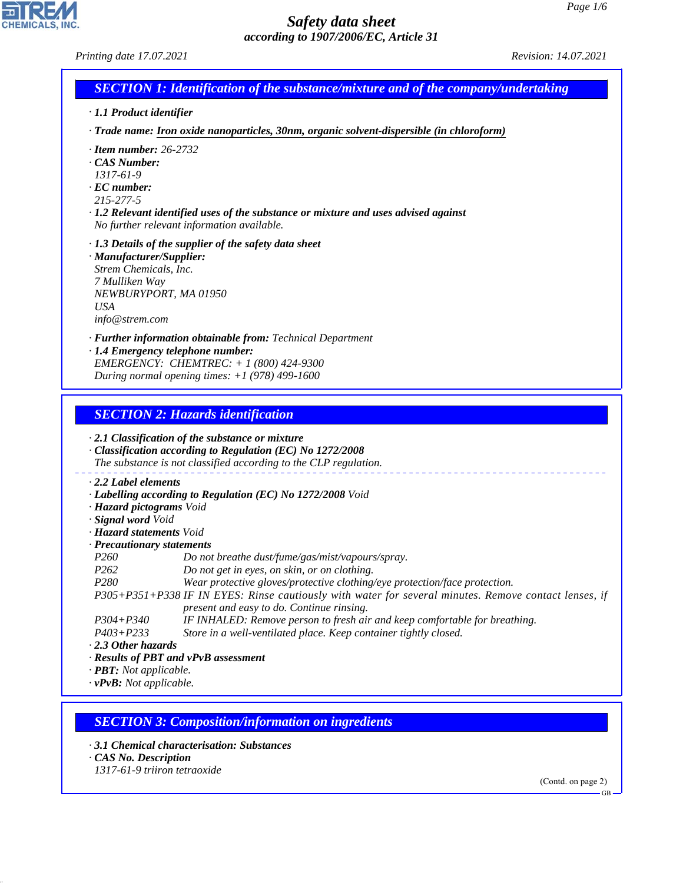*Printing date 17.07.2021 Revision: 14.07.2021*

| <b>SECTION 1: Identification of the substance/mixture and of the company/undertaking</b> |
|------------------------------------------------------------------------------------------|
|                                                                                          |

*· 1.1 Product identifier*

*· Trade name: Iron oxide nanoparticles, 30nm, organic solvent-dispersible (in chloroform)*

- *· Item number: 26-2732*
- *· CAS Number:*
- *1317-61-9*
- *· EC number:*
- *215-277-5*

*· 1.2 Relevant identified uses of the substance or mixture and uses advised against No further relevant information available.*

- *· 1.3 Details of the supplier of the safety data sheet*
- *· Manufacturer/Supplier: Strem Chemicals, Inc. 7 Mulliken Way NEWBURYPORT, MA 01950 USA info@strem.com*

*· Further information obtainable from: Technical Department*

*· 1.4 Emergency telephone number: EMERGENCY: CHEMTREC: + 1 (800) 424-9300 During normal opening times: +1 (978) 499-1600*

### *SECTION 2: Hazards identification*

*· 2.1 Classification of the substance or mixture*

*· Classification according to Regulation (EC) No 1272/2008 The substance is not classified according to the CLP regulation. · 2.2 Label elements*

- *· Labelling according to Regulation (EC) No 1272/2008 Void*
- *· Hazard pictograms Void*
- *· Signal word Void*
- *· Hazard statements Void*
- *· Precautionary statements*

*P260 Do not breathe dust/fume/gas/mist/vapours/spray.*

- *P262 Do not get in eyes, on skin, or on clothing.*
- *P280 Wear protective gloves/protective clothing/eye protection/face protection.*

*P305+P351+P338 IF IN EYES: Rinse cautiously with water for several minutes. Remove contact lenses, if present and easy to do. Continue rinsing.*

- *P304+P340 IF INHALED: Remove person to fresh air and keep comfortable for breathing.*
- *P403+P233 Store in a well-ventilated place. Keep container tightly closed.*

*· 2.3 Other hazards*

- *· Results of PBT and vPvB assessment*
- *· PBT: Not applicable.*

*· vPvB: Not applicable.*

### *SECTION 3: Composition/information on ingredients*

*· 3.1 Chemical characterisation: Substances*

*· CAS No. Description*

44.1.1

*1317-61-9 triiron tetraoxide*

(Contd. on page 2)

GB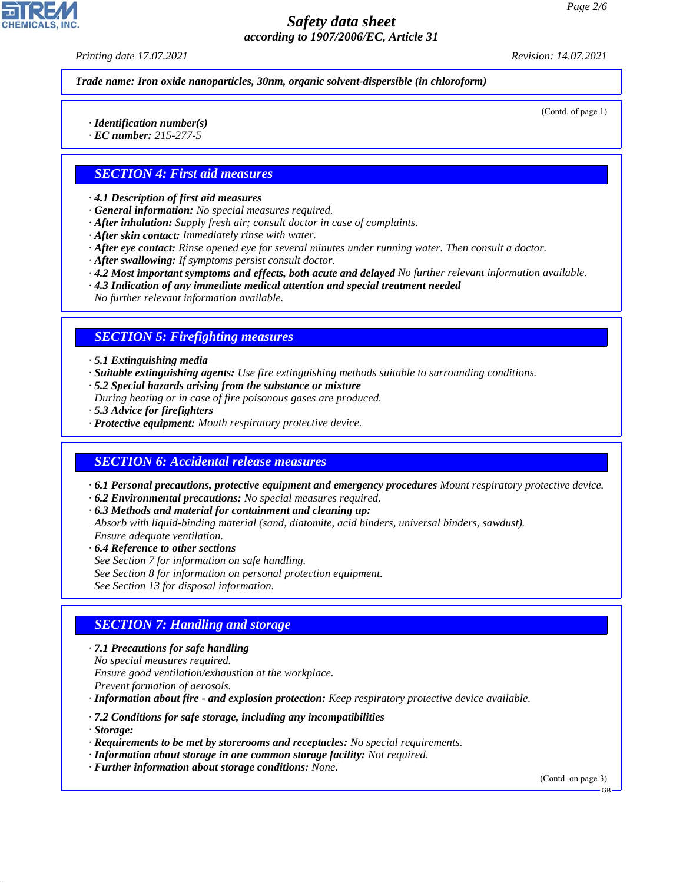*Printing date 17.07.2021 Revision: 14.07.2021*

*Trade name: Iron oxide nanoparticles, 30nm, organic solvent-dispersible (in chloroform)*

(Contd. of page 1)

*· Identification number(s)*

*· EC number: 215-277-5*

# *SECTION 4: First aid measures*

*· 4.1 Description of first aid measures*

- *· General information: No special measures required.*
- *· After inhalation: Supply fresh air; consult doctor in case of complaints.*
- *· After skin contact: Immediately rinse with water.*
- *· After eye contact: Rinse opened eye for several minutes under running water. Then consult a doctor.*
- *· After swallowing: If symptoms persist consult doctor.*
- *· 4.2 Most important symptoms and effects, both acute and delayed No further relevant information available.*
- *· 4.3 Indication of any immediate medical attention and special treatment needed*

*No further relevant information available.*

### *SECTION 5: Firefighting measures*

- *· 5.1 Extinguishing media*
- *· Suitable extinguishing agents: Use fire extinguishing methods suitable to surrounding conditions.*
- *· 5.2 Special hazards arising from the substance or mixture*
- *During heating or in case of fire poisonous gases are produced.*
- *· 5.3 Advice for firefighters*
- *· Protective equipment: Mouth respiratory protective device.*

#### *SECTION 6: Accidental release measures*

*· 6.1 Personal precautions, protective equipment and emergency procedures Mount respiratory protective device.*

- *· 6.2 Environmental precautions: No special measures required.*
- *· 6.3 Methods and material for containment and cleaning up:*
- *Absorb with liquid-binding material (sand, diatomite, acid binders, universal binders, sawdust). Ensure adequate ventilation.*
- *· 6.4 Reference to other sections*
- *See Section 7 for information on safe handling.*
- *See Section 8 for information on personal protection equipment.*
- *See Section 13 for disposal information.*

### *SECTION 7: Handling and storage*

*· 7.1 Precautions for safe handling No special measures required. Ensure good ventilation/exhaustion at the workplace. Prevent formation of aerosols. · Information about fire - and explosion protection: Keep respiratory protective device available.*

- *· 7.2 Conditions for safe storage, including any incompatibilities*
- *· Storage:*

44.1.1

- *· Requirements to be met by storerooms and receptacles: No special requirements.*
- *· Information about storage in one common storage facility: Not required.*
- *· Further information about storage conditions: None.*

(Contd. on page 3)

GB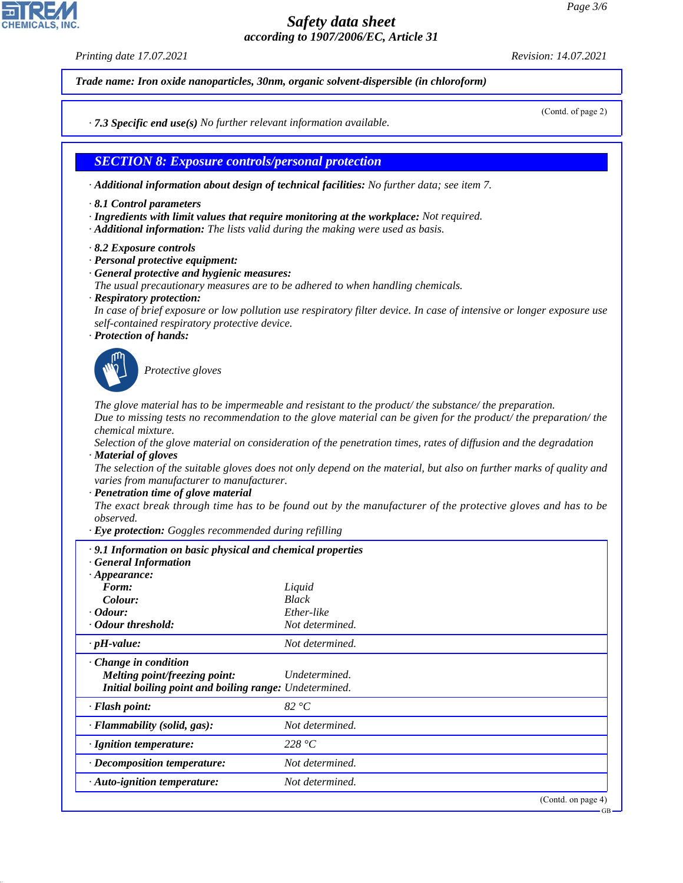*Printing date 17.07.2021 Revision: 14.07.2021*

*Trade name: Iron oxide nanoparticles, 30nm, organic solvent-dispersible (in chloroform)*

(Contd. of page 2)

*· 7.3 Specific end use(s) No further relevant information available.*

*SECTION 8: Exposure controls/personal protection*

*· Additional information about design of technical facilities: No further data; see item 7.*

- *· 8.1 Control parameters*
- *· Ingredients with limit values that require monitoring at the workplace: Not required.*
- *· Additional information: The lists valid during the making were used as basis.*

*· 8.2 Exposure controls*

- *· Personal protective equipment:*
- *· General protective and hygienic measures:*

*The usual precautionary measures are to be adhered to when handling chemicals.*

*· Respiratory protection:*

*In case of brief exposure or low pollution use respiratory filter device. In case of intensive or longer exposure use self-contained respiratory protective device.*

*· Protection of hands:*



44.1.1

\_S*Protective gloves*

*The glove material has to be impermeable and resistant to the product/ the substance/ the preparation. Due to missing tests no recommendation to the glove material can be given for the product/ the preparation/ the chemical mixture.*

*Selection of the glove material on consideration of the penetration times, rates of diffusion and the degradation · Material of gloves*

*The selection of the suitable gloves does not only depend on the material, but also on further marks of quality and varies from manufacturer to manufacturer.*

*· Penetration time of glove material*

*The exact break through time has to be found out by the manufacturer of the protective gloves and has to be observed.*

*· Eye protection: Goggles recommended during refilling*

| .9.1 Information on basic physical and chemical properties<br><b>General Information</b>                                      |                    |  |
|-------------------------------------------------------------------------------------------------------------------------------|--------------------|--|
| $\cdot$ Appearance:                                                                                                           |                    |  |
| Form:                                                                                                                         | Liquid             |  |
| Colour:                                                                                                                       | <b>Black</b>       |  |
| $\cdot$ Odour:                                                                                                                | Ether-like         |  |
| • Odour threshold:                                                                                                            | Not determined.    |  |
| $\cdot$ pH-value:                                                                                                             | Not determined.    |  |
| $\cdot$ Change in condition<br><i>Melting point/freezing point:</i><br>Initial boiling point and boiling range: Undetermined. | Undetermined.      |  |
| $\cdot$ Flash point:                                                                                                          | 82 °C              |  |
| · Flammability (solid, gas):                                                                                                  | Not determined.    |  |
| $\cdot$ Ignition temperature:                                                                                                 | 228 $\degree C$    |  |
| · Decomposition temperature:                                                                                                  | Not determined.    |  |
| $\cdot$ Auto-ignition temperature:                                                                                            | Not determined.    |  |
|                                                                                                                               | (Contd. on page 4) |  |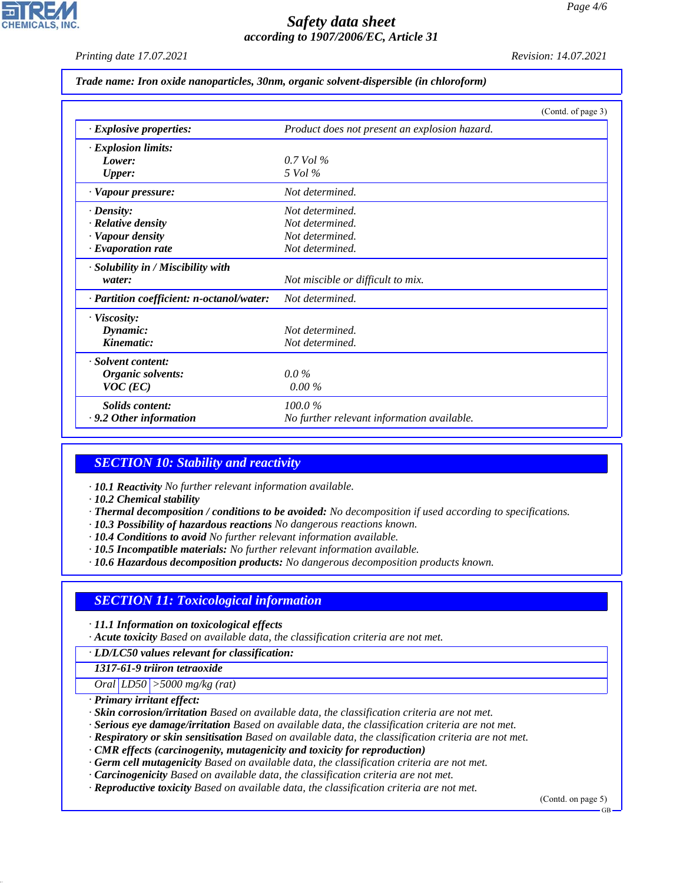*Printing date 17.07.2021 Revision: 14.07.2021*

#### *Trade name: Iron oxide nanoparticles, 30nm, organic solvent-dispersible (in chloroform)*

|                                           | (Contd. of page 3)                            |  |
|-------------------------------------------|-----------------------------------------------|--|
| · Explosive properties:                   | Product does not present an explosion hazard. |  |
| · Explosion limits:                       |                                               |  |
| Lower:                                    | $0.7$ Vol %                                   |  |
| Upper:                                    | 5 Vol %                                       |  |
| · Vapour pressure:                        | Not determined.                               |  |
| $\cdot$ Density:                          | Not determined.                               |  |
| · Relative density                        | Not determined.                               |  |
| · Vapour density                          | Not determined.                               |  |
| $\cdot$ Evaporation rate                  | Not determined.                               |  |
| · Solubility in / Miscibility with        |                                               |  |
| water:                                    | Not miscible or difficult to mix.             |  |
| · Partition coefficient: n-octanol/water: | Not determined.                               |  |
| · Viscosity:                              |                                               |  |
| Dynamic:                                  | Not determined.                               |  |
| Kinematic:                                | Not determined.                               |  |
| · Solvent content:                        |                                               |  |
| Organic solvents:                         | $0.0\%$                                       |  |
| $VOC$ (EC)                                | $0.00\%$                                      |  |
| Solids content:                           | 100.0%                                        |  |
| $\cdot$ 9.2 Other information             | No further relevant information available.    |  |

### *SECTION 10: Stability and reactivity*

- *· 10.1 Reactivity No further relevant information available.*
- *· 10.2 Chemical stability*
- *· Thermal decomposition / conditions to be avoided: No decomposition if used according to specifications.*
- *· 10.3 Possibility of hazardous reactions No dangerous reactions known.*
- *· 10.4 Conditions to avoid No further relevant information available.*
- *· 10.5 Incompatible materials: No further relevant information available.*
- *· 10.6 Hazardous decomposition products: No dangerous decomposition products known.*

# *SECTION 11: Toxicological information*

- *· 11.1 Information on toxicological effects*
- *· Acute toxicity Based on available data, the classification criteria are not met.*

*· LD/LC50 values relevant for classification:*

*1317-61-9 triiron tetraoxide*

*Oral LD50 >5000 mg/kg (rat)*

*· Primary irritant effect:*

44.1.1

- *· Skin corrosion/irritation Based on available data, the classification criteria are not met.*
- *· Serious eye damage/irritation Based on available data, the classification criteria are not met.*
- *· Respiratory or skin sensitisation Based on available data, the classification criteria are not met.*
- *· CMR effects (carcinogenity, mutagenicity and toxicity for reproduction)*
- *· Germ cell mutagenicity Based on available data, the classification criteria are not met.*
- *· Carcinogenicity Based on available data, the classification criteria are not met.*
- *· Reproductive toxicity Based on available data, the classification criteria are not met.*

(Contd. on page 5)

GB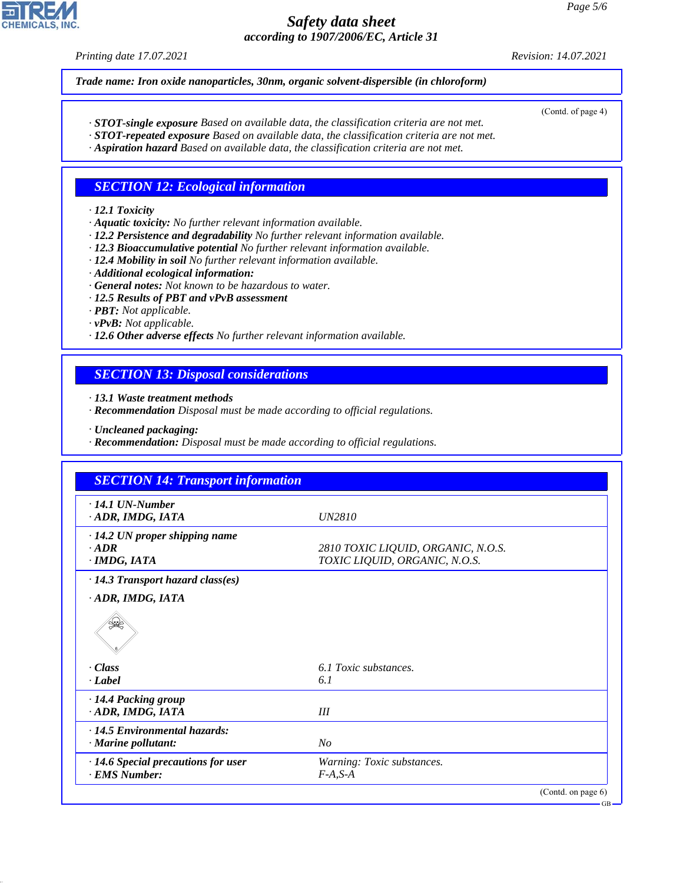*Printing date 17.07.2021 Revision: 14.07.2021*

*Trade name: Iron oxide nanoparticles, 30nm, organic solvent-dispersible (in chloroform)*

(Contd. of page 4)

GB

- *· STOT-single exposure Based on available data, the classification criteria are not met.*
- *· STOT-repeated exposure Based on available data, the classification criteria are not met.*
- *· Aspiration hazard Based on available data, the classification criteria are not met.*

# *SECTION 12: Ecological information*

#### *· 12.1 Toxicity*

- *· Aquatic toxicity: No further relevant information available.*
- *· 12.2 Persistence and degradability No further relevant information available.*
- *· 12.3 Bioaccumulative potential No further relevant information available.*
- *· 12.4 Mobility in soil No further relevant information available.*
- *· Additional ecological information:*
- *· General notes: Not known to be hazardous to water.*
- *· 12.5 Results of PBT and vPvB assessment*
- *· PBT: Not applicable.*
- *· vPvB: Not applicable.*
- *· 12.6 Other adverse effects No further relevant information available.*

## *SECTION 13: Disposal considerations*

- *· 13.1 Waste treatment methods*
- *· Recommendation Disposal must be made according to official regulations.*
- *· Uncleaned packaging:*
- *· Recommendation: Disposal must be made according to official regulations.*

| <b>SECTION 14: Transport information</b>                       |                                                                     |  |  |
|----------------------------------------------------------------|---------------------------------------------------------------------|--|--|
| $\cdot$ 14.1 UN-Number<br>ADR, IMDG, IATA                      | <i>UN2810</i>                                                       |  |  |
| $\cdot$ 14.2 UN proper shipping name<br>$-ADR$<br>· IMDG, IATA | 2810 TOXIC LIQUID, ORGANIC, N.O.S.<br>TOXIC LIQUID, ORGANIC, N.O.S. |  |  |
| $\cdot$ 14.3 Transport hazard class(es)                        |                                                                     |  |  |
| ADR, IMDG, IATA                                                |                                                                     |  |  |
|                                                                |                                                                     |  |  |
| - Class                                                        | 6.1 Toxic substances.                                               |  |  |
| · Label                                                        | 6.1                                                                 |  |  |
| · 14.4 Packing group                                           |                                                                     |  |  |
| · ADR, IMDG, IATA                                              | III                                                                 |  |  |
| $\cdot$ 14.5 Environmental hazards:                            |                                                                     |  |  |
| · Marine pollutant:                                            | N <sub>O</sub>                                                      |  |  |
| $\cdot$ 14.6 Special precautions for user                      | Warning: Toxic substances.                                          |  |  |
| · EMS Number:                                                  | $F-A, S-A$                                                          |  |  |
|                                                                | (Contd. on page $6$ )                                               |  |  |



44.1.1